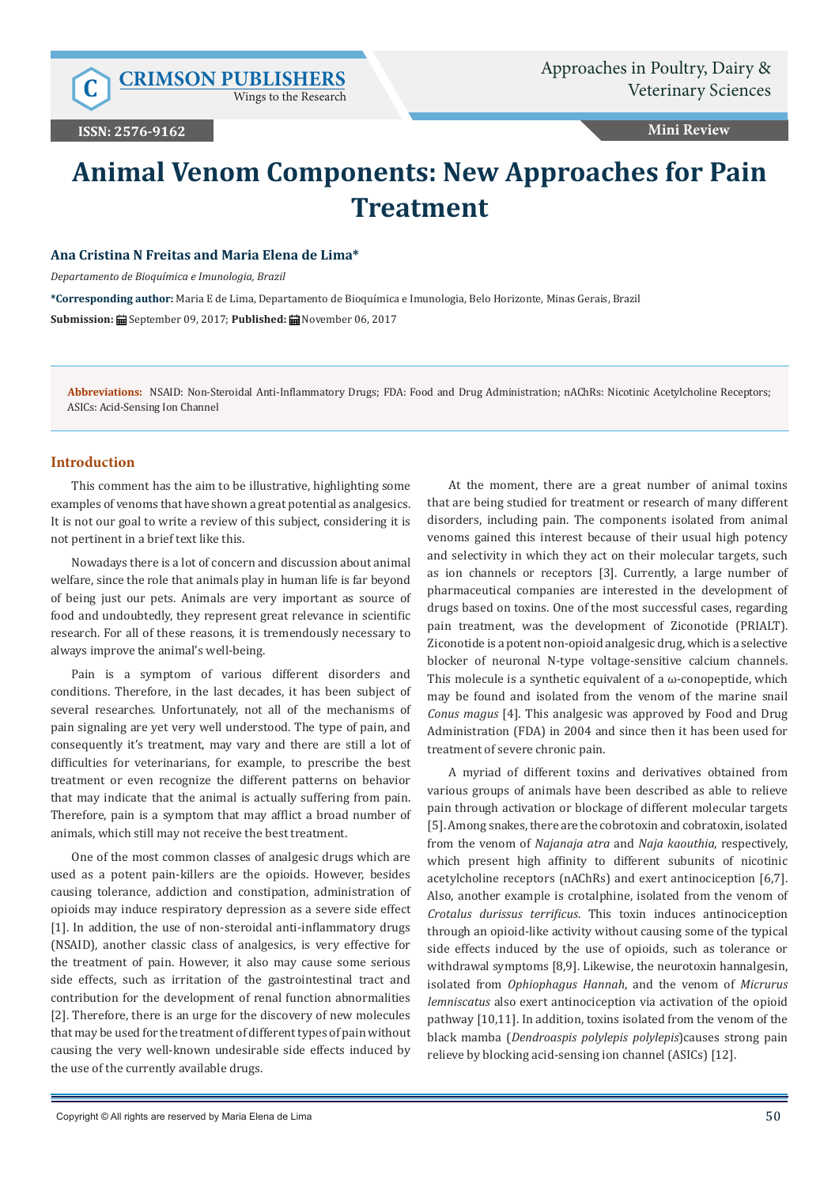Wings to the Research

**ISSN: 2576-9162**

**Mini Review**

# **Animal Venom Components: New Approaches for Pain Treatment**

# **Ana Cristina N Freitas and Maria Elena de Lima\***

*Departamento de Bioquímica e Imunologia, Brazil*

**\*Corresponding author:** Maria E de Lima, Departamento de Bioquímica e Imunologia, Belo Horizonte, Minas Gerais, Brazil **Submission:** September 09, 2017; **Published:** November 06, 2017

**Abbreviations:** NSAID: Non-Steroidal Anti-Inflammatory Drugs; FDA: Food and Drug Administration; nAChRs: Nicotinic Acetylcholine Receptors; ASICs: Acid-Sensing Ion Channel

#### **Introduction**

This comment has the aim to be illustrative, highlighting some examples of venoms that have shown a great potential as analgesics. It is not our goal to write a review of this subject, considering it is not pertinent in a brief text like this.

Nowadays there is a lot of concern and discussion about animal welfare, since the role that animals play in human life is far beyond of being just our pets. Animals are very important as source of food and undoubtedly, they represent great relevance in scientific research. For all of these reasons, it is tremendously necessary to always improve the animal's well-being.

Pain is a symptom of various different disorders and conditions. Therefore, in the last decades, it has been subject of several researches. Unfortunately, not all of the mechanisms of pain signaling are yet very well understood. The type of pain, and consequently it's treatment, may vary and there are still a lot of difficulties for veterinarians, for example, to prescribe the best treatment or even recognize the different patterns on behavior that may indicate that the animal is actually suffering from pain. Therefore, pain is a symptom that may afflict a broad number of animals, which still may not receive the best treatment.

One of the most common classes of analgesic drugs which are used as a potent pain-killers are the opioids. However, besides causing tolerance, addiction and constipation, administration of opioids may induce respiratory depression as a severe side effect [1]. In addition, the use of non-steroidal anti-inflammatory drugs (NSAID), another classic class of analgesics, is very effective for the treatment of pain. However, it also may cause some serious side effects, such as irritation of the gastrointestinal tract and contribution for the development of renal function abnormalities [2]. Therefore, there is an urge for the discovery of new molecules that may be used for the treatment of different types of pain without causing the very well-known undesirable side effects induced by the use of the currently available drugs.

At the moment, there are a great number of animal toxins that are being studied for treatment or research of many different disorders, including pain. The components isolated from animal venoms gained this interest because of their usual high potency and selectivity in which they act on their molecular targets, such as ion channels or receptors [3]. Currently, a large number of pharmaceutical companies are interested in the development of drugs based on toxins. One of the most successful cases, regarding pain treatment, was the development of Ziconotide (PRIALT). Ziconotide is a potent non-opioid analgesic drug, which is a selective blocker of neuronal N-type voltage-sensitive calcium channels. This molecule is a synthetic equivalent of a  $\omega$ -conopeptide, which may be found and isolated from the venom of the marine snail *Conus magus* [4]. This analgesic was approved by Food and Drug Administration (FDA) in 2004 and since then it has been used for treatment of severe chronic pain.

A myriad of different toxins and derivatives obtained from various groups of animals have been described as able to relieve pain through activation or blockage of different molecular targets [5]. Among snakes, there are the cobrotoxin and cobratoxin, isolated from the venom of *Najanaja atra* and *Naja kaouthia*, respectively, which present high affinity to different subunits of nicotinic acetylcholine receptors (nAChRs) and exert antinociception [6,7]. Also, another example is crotalphine, isolated from the venom of *Crotalus durissus terrificus*. This toxin induces antinociception through an opioid-like activity without causing some of the typical side effects induced by the use of opioids, such as tolerance or withdrawal symptoms [8,9]. Likewise, the neurotoxin hannalgesin, isolated from *Ophiophagus Hannah*, and the venom of *Micrurus lemniscatus* also exert antinociception via activation of the opioid pathway [10,11]. In addition, toxins isolated from the venom of the black mamba (*Dendroaspis polylepis polylepis*)causes strong pain relieve by blocking acid-sensing ion channel (ASICs) [12].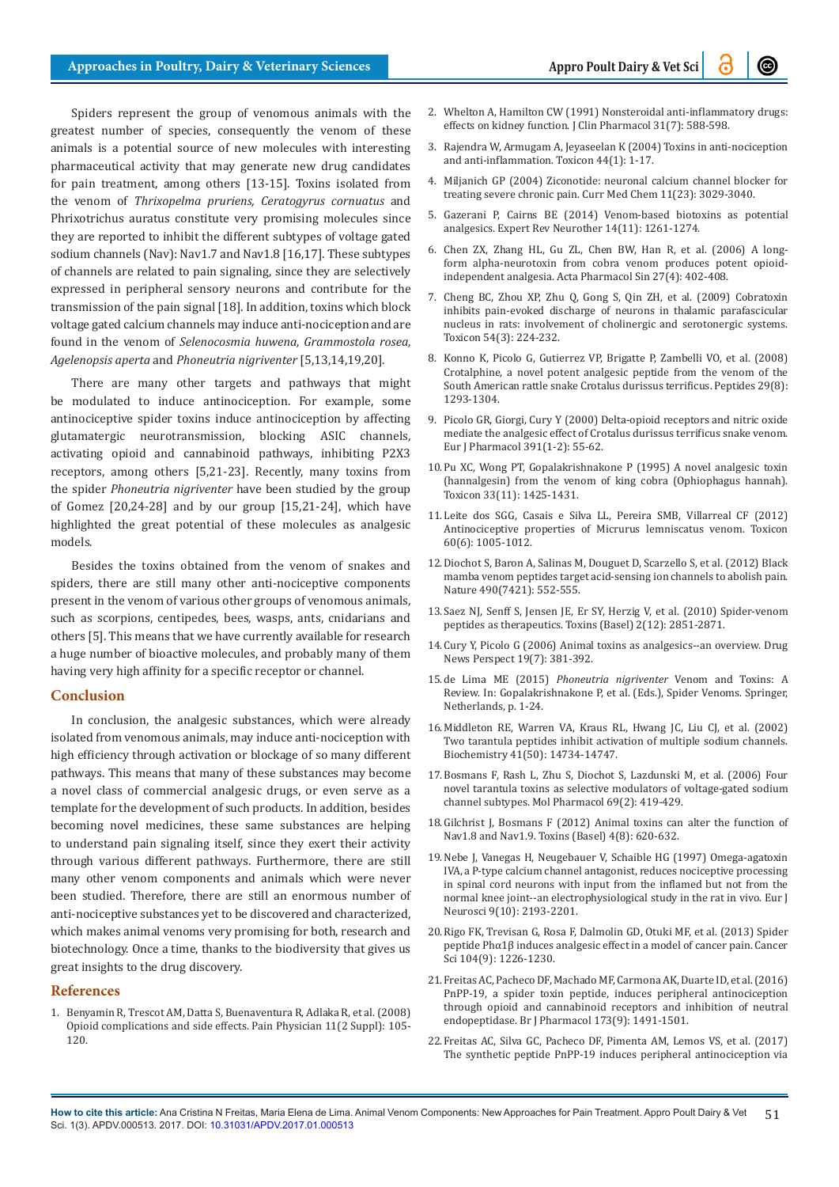Spiders represent the group of venomous animals with the greatest number of species, consequently the venom of these animals is a potential source of new molecules with interesting pharmaceutical activity that may generate new drug candidates for pain treatment, among others [13-15]. Toxins isolated from the venom of *Thrixopelma pruriens, Ceratogyrus cornuatus* and Phrixotrichus auratus constitute very promising molecules since they are reported to inhibit the different subtypes of voltage gated sodium channels (Nav): Nav1.7 and Nav1.8 [16,17]. These subtypes of channels are related to pain signaling, since they are selectively expressed in peripheral sensory neurons and contribute for the transmission of the pain signal [18]. In addition, toxins which block voltage gated calcium channels may induce anti-nociception and are found in the venom of *Selenocosmia huwena, Grammostola rosea, Agelenopsis aperta* and *Phoneutria nigriventer* [5,13,14,19,20].

There are many other targets and pathways that might be modulated to induce antinociception. For example, some antinociceptive spider toxins induce antinociception by affecting glutamatergic neurotransmission, blocking ASIC channels, activating opioid and cannabinoid pathways, inhibiting P2X3 receptors, among others [5,21-23]. Recently, many toxins from the spider *Phoneutria nigriventer* have been studied by the group of Gomez [20,24-28] and by our group [15,21-24], which have highlighted the great potential of these molecules as analgesic models.

Besides the toxins obtained from the venom of snakes and spiders, there are still many other anti-nociceptive components present in the venom of various other groups of venomous animals, such as scorpions, centipedes, bees, wasps, ants, cnidarians and others [5]. This means that we have currently available for research a huge number of bioactive molecules, and probably many of them having very high affinity for a specific receptor or channel.

### **Conclusion**

In conclusion, the analgesic substances, which were already isolated from venomous animals, may induce anti-nociception with high efficiency through activation or blockage of so many different pathways. This means that many of these substances may become a novel class of commercial analgesic drugs, or even serve as a template for the development of such products. In addition, besides becoming novel medicines, these same substances are helping to understand pain signaling itself, since they exert their activity through various different pathways. Furthermore, there are still many other venom components and animals which were never been studied. Therefore, there are still an enormous number of anti-nociceptive substances yet to be discovered and characterized, which makes animal venoms very promising for both, research and biotechnology. Once a time, thanks to the biodiversity that gives us great insights to the drug discovery.

## **References**

1. [Benyamin R, Trescot AM, Datta S, Buenaventura R, Adlaka R, et al. \(2008\)](https://www.ncbi.nlm.nih.gov/pubmed/18443635)  [Opioid complications and side effects. Pain Physician 11\(2 Suppl\): 105-](https://www.ncbi.nlm.nih.gov/pubmed/18443635) [120.](https://www.ncbi.nlm.nih.gov/pubmed/18443635)

- 2. [Whelton A, Hamilton CW \(1991\) Nonsteroidal anti-inflammatory drugs:](https://www.ncbi.nlm.nih.gov/pubmed/1894754)  [effects on kidney function. J Clin Pharmacol 31\(7\): 588-598.](https://www.ncbi.nlm.nih.gov/pubmed/1894754)
- 3. [Rajendra W, Armugam A, Jeyaseelan K \(2004\) Toxins in anti-nociception](https://www.ncbi.nlm.nih.gov/pubmed/15225557)  [and anti-inflammation. Toxicon 44\(1\): 1-17.](https://www.ncbi.nlm.nih.gov/pubmed/15225557)
- 4. [Miljanich GP \(2004\) Ziconotide: neuronal calcium channel blocker for](https://www.ncbi.nlm.nih.gov/pubmed/15578997)  [treating severe chronic pain. Curr Med Chem 11\(23\): 3029-3040.](https://www.ncbi.nlm.nih.gov/pubmed/15578997)
- 5. [Gazerani P, Cairns BE \(2014\) Venom-based biotoxins as potential](https://www.ncbi.nlm.nih.gov/pubmed/25234848)  [analgesics. Expert Rev Neurother 14\(11\): 1261-1274.](https://www.ncbi.nlm.nih.gov/pubmed/25234848)
- 6. [Chen ZX, Zhang HL, Gu ZL, Chen BW, Han R, et al. \(2006\) A long](https://www.ncbi.nlm.nih.gov/pubmed/16539838)form alpha-neurot[oxin from cobra venom produces potent opioid](https://www.ncbi.nlm.nih.gov/pubmed/16539838)[independent analgesia. Acta Pharmacol Sin 27\(4\): 402-408.](https://www.ncbi.nlm.nih.gov/pubmed/16539838)
- 7. [Cheng BC, Zhou XP, Zhu Q, Gong S, Qin ZH, et al. \(2009\) Cobratoxin](https://www.ncbi.nlm.nih.gov/pubmed/19375445)  [inhibits pain-evoked discharge of neurons in thalamic parafascicular](https://www.ncbi.nlm.nih.gov/pubmed/19375445)  [nucleus in rats: involvement of cholinergic and serotonergic systems.](https://www.ncbi.nlm.nih.gov/pubmed/19375445)  [Toxicon 54\(3\): 224-232.](https://www.ncbi.nlm.nih.gov/pubmed/19375445)
- 8. [Konno K, Picolo G, Gutierrez VP, Brigatte P, Zambelli VO, et al. \(2008\)](https://www.ncbi.nlm.nih.gov/pubmed/18495297)  [Crotalphine, a novel potent analgesic peptide from the venom of the](https://www.ncbi.nlm.nih.gov/pubmed/18495297)  [South American rattle snake Crotalus durissus terrificus. Peptides 29\(8\):](https://www.ncbi.nlm.nih.gov/pubmed/18495297)  [1293-1304.](https://www.ncbi.nlm.nih.gov/pubmed/18495297)
- 9. [Picolo GR, Giorgi, Cury Y \(2000\) Delta-opioid receptors and nitric oxide](https://www.ncbi.nlm.nih.gov/pubmed/10720635)  [mediate the analgesic effect of Crotalus durissus terrificus snake venom.](https://www.ncbi.nlm.nih.gov/pubmed/10720635)  [Eur J Pharmacol 391\(1-2\): 55-62.](https://www.ncbi.nlm.nih.gov/pubmed/10720635)
- 10.[Pu XC, Wong PT, Gopalakrishnakone P \(1995\) A novel analgesic toxin](https://www.ncbi.nlm.nih.gov/pubmed/8744982)  [\(hannalgesin\) from the venom of king cobra \(Ophiophagus hannah\).](https://www.ncbi.nlm.nih.gov/pubmed/8744982)  [Toxicon 33\(11\): 1425-1431.](https://www.ncbi.nlm.nih.gov/pubmed/8744982)
- 11.[Leite dos SGG, Casais e Silva LL, Pereira SMB, Villarreal CF \(2012\)](https://www.ncbi.nlm.nih.gov/pubmed/22841808)  [Antinociceptive properties of Micrurus lemniscatus venom. Toxicon](https://www.ncbi.nlm.nih.gov/pubmed/22841808)  [60\(6\): 1005-1012.](https://www.ncbi.nlm.nih.gov/pubmed/22841808)
- 12.[Diochot S, Baron A, Salinas M, Douguet D, Scarzello S, et al. \(2012\) Black](https://www.ncbi.nlm.nih.gov/pubmed/23034652)  [mamba venom peptides target acid-sensing ion channels to abolish pain.](https://www.ncbi.nlm.nih.gov/pubmed/23034652)  [Nature 490\(7421\): 552-555.](https://www.ncbi.nlm.nih.gov/pubmed/23034652)
- 13.[Saez NJ, Senff S, Jensen JE, Er SY, Herzig V, et al. \(2010\) Spider-venom](https://www.ncbi.nlm.nih.gov/pubmed/22069579/)  [peptides as therapeutics. Toxins \(Basel\) 2\(12\): 2851-2871.](https://www.ncbi.nlm.nih.gov/pubmed/22069579/)
- 14.[Cury Y, Picolo G \(2006\) Animal toxins as analgesics--an overview. Drug](https://www.ncbi.nlm.nih.gov/pubmed/17080201)  [News Perspect 19\(7\): 381-392.](https://www.ncbi.nlm.nih.gov/pubmed/17080201)
- 15.de Lima ME (2015) *Phoneutria nigriventer* Venom and Toxins: A Review. In: Gopalakrishnakone P, et al. (Eds.), Spider Venoms. Springer, Netherlands, p. 1-24.
- 16.[Middleton RE, Warren VA, Kraus RL, Hwang JC, Liu CJ, et al. \(2002\)](https://www.ncbi.nlm.nih.gov/pubmed/12475222)  [Two tarantula peptides inhibit activation of multiple sodium channels.](https://www.ncbi.nlm.nih.gov/pubmed/12475222)  [Biochemistry 41\(50\): 14734-14747.](https://www.ncbi.nlm.nih.gov/pubmed/12475222)
- 17.[Bosmans F, Rash L, Zhu S, Diochot S, Lazdunski M, et al. \(2006\) Four](https://www.ncbi.nlm.nih.gov/pubmed/16267209)  [novel tarantula toxins as selective modulators of voltage-gated sodium](https://www.ncbi.nlm.nih.gov/pubmed/16267209)  [channel subtypes. Mol Pharmacol 69\(2\): 419-429.](https://www.ncbi.nlm.nih.gov/pubmed/16267209)
- 18.[Gilchrist J, Bosmans F \(2012\) Animal toxins can alter the function of](https://www.ncbi.nlm.nih.gov/pubmed/23012651/)  [Nav1.8 and Nav1.9. Toxins \(Basel\) 4\(8\): 620-632.](https://www.ncbi.nlm.nih.gov/pubmed/23012651/)
- 19.[Nebe J, Vanegas H, Neugebauer V, Schaible HG \(1997\) Omega-agatoxin](https://www.ncbi.nlm.nih.gov/pubmed/9421179)  [IVA, a P-type calcium channel antagonist, reduces nociceptive processing](https://www.ncbi.nlm.nih.gov/pubmed/9421179)  [in spinal cord neurons with input from the inflamed but not from the](https://www.ncbi.nlm.nih.gov/pubmed/9421179)  [normal knee joint--an electrophysiological study in the rat in vivo. Eur J](https://www.ncbi.nlm.nih.gov/pubmed/9421179)  [Neurosci 9\(10\): 2193-2201.](https://www.ncbi.nlm.nih.gov/pubmed/9421179)
- 20.[Rigo FK, Trevisan G, Rosa F, Dalmolin GD, Otuki MF, et al. \(2013\) Spider](https://www.ncbi.nlm.nih.gov/pubmed/23718272)  [peptide Phα1β induces analgesic effect in a model of cancer pain. Cancer](https://www.ncbi.nlm.nih.gov/pubmed/23718272)  [Sci 104\(9\): 1226-1230.](https://www.ncbi.nlm.nih.gov/pubmed/23718272)
- 21.[Freitas AC, Pacheco DF, Machado MF, Carmona AK, Duarte ID, et al. \(2016\)](https://www.ncbi.nlm.nih.gov/pubmed/26947933)  [PnPP-19, a spider toxin peptide, induces peripheral antinociception](https://www.ncbi.nlm.nih.gov/pubmed/26947933)  [through opioid and cannabinoid receptors and inhibition of neutral](https://www.ncbi.nlm.nih.gov/pubmed/26947933)  [endopeptidase. Br J Pharmacol 173\(9\): 1491-1501.](https://www.ncbi.nlm.nih.gov/pubmed/26947933)
- 22.[Freitas AC, Silva GC, Pacheco DF, Pimenta AM, Lemos VS, et al. \(2017\)](https://www.ncbi.nlm.nih.gov/pubmed/28087360)  [The synthetic peptide PnPP-19 induces peripheral antinociception via](https://www.ncbi.nlm.nih.gov/pubmed/28087360)